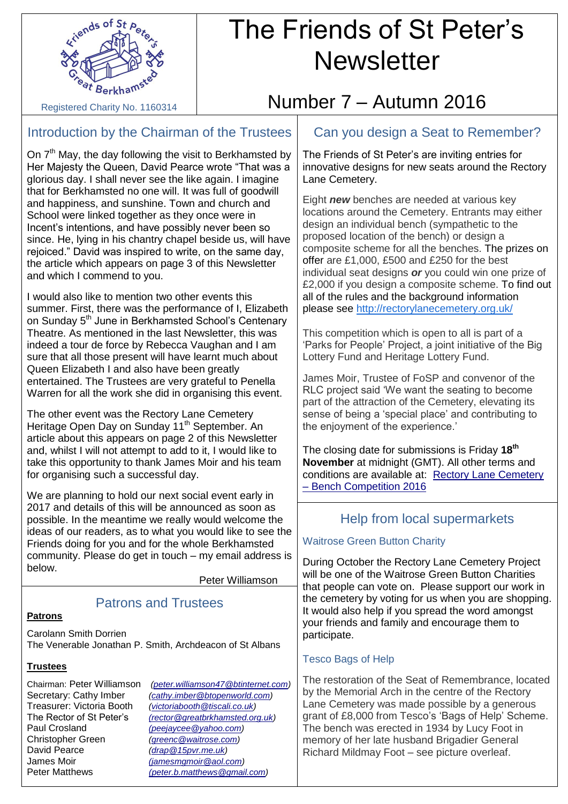

## The Friends of St Peter's **Newsletter**

Registered Charity No. 1160314

## Introduction by the Chairman of the Trustees

On  $7<sup>th</sup>$  May, the day following the visit to Berkhamsted by Her Majesty the Queen, David Pearce wrote "That was a glorious day. I shall never see the like again. I imagine that for Berkhamsted no one will. It was full of goodwill and happiness, and sunshine. Town and church and School were linked together as they once were in Incent's intentions, and have possibly never been so since. He, lying in his chantry chapel beside us, will have rejoiced." David was inspired to write, on the same day, the article which appears on page 3 of this Newsletter and which I commend to you.

I would also like to mention two other events this summer. First, there was the performance of I, Elizabeth on Sunday 5<sup>th</sup> June in Berkhamsted School's Centenary Theatre. As mentioned in the last Newsletter, this was indeed a tour de force by Rebecca Vaughan and I am sure that all those present will have learnt much about Queen Elizabeth I and also have been greatly entertained. The Trustees are very grateful to Penella Warren for all the work she did in organising this event.

The other event was the Rectory Lane Cemetery Heritage Open Day on Sunday 11<sup>th</sup> September. An article about this appears on page 2 of this Newsletter and, whilst I will not attempt to add to it, I would like to take this opportunity to thank James Moir and his team for organising such a successful day.

We are planning to hold our next social event early in 2017 and details of this will be announced as soon as possible. In the meantime we really would welcome the ideas of our readers, as to what you would like to see the Friends doing for you and for the whole Berkhamsted community. Please do get in touch – my email address is below.

Peter Williamson

#### **Patrons**

Patrons and Trustees

Carolann Smith Dorrien The Venerable Jonathan P. Smith, Archdeacon of St Albans

#### **Trustees**

Treasurer: Victoria Booth *[\(victoriabooth@tiscali.co.uk\)](mailto:victoriabooth@tiscali.co.uk)*  Paul Crosland *[\(peejaycee@yahoo.com\)](mailto:(peejaycee@yahoo.com)* David Pearce *[\(drap@15pvr.me.uk\)](mailto:drap@15pvr.me.uk)* James Moir *[\(jamesmgmoir@aol.com\)](mailto:(jamesmgmoir@aol.com)*

Chairman: Peter Williamson *[\(peter.williamson47@btinternet.com\)](mailto:peter.williamson47@btinternet.com)* Secretary: Cathy Imber *[\(cathy.imber@btopenworld.com\)](mailto:cathy.imber@btopenworld.com)*<br>Treasurer: Victoria Booth *(victoriabooth@tiscali.co.uk)* The Rector of St Peter's *[\(rector@greatbrkhamsted.org.uk\)](mailto:(rector@greatberkhamsted.org.uk)* Christopher Green *[\(greenc@waitrose.com\)](mailto:greenc@waitrose.com)* Peter Matthews *[\(peter.b.matthews@gmail.com\)](mailto:(peter.b.matthews@gmail.com)*

# Number 7 – Autumn 2016

## Can you design a Seat to Remember?

The Friends of St Peter's are inviting entries for innovative designs for new seats around the Rectory Lane Cemetery.

Eight *new* benches are needed at various key locations around the Cemetery. Entrants may either design an individual bench (sympathetic to the proposed location of the bench) or design a composite scheme for all the benches. The prizes on offer are £1,000, £500 and £250 for the best individual seat designs *or* you could win one prize of £2,000 if you design a composite scheme. To find out all of the rules and the background information please see<http://rectorylanecemetery.org.uk/>

This competition which is open to all is part of a 'Parks for People' Project, a joint initiative of the Big Lottery Fund and Heritage Lottery Fund.

James Moir, Trustee of FoSP and convenor of the RLC project said 'We want the seating to become part of the attraction of the Cemetery, elevating its sense of being a 'special place' and contributing to the enjoyment of the experience.'

The closing date for submissions is Friday **18 th November** at midnight (GMT). All other terms and conditions are available at: [Rectory Lane Cemetery](http://rectorylanecemetery.org.uk/)  – [Bench Competition 2016](http://rectorylanecemetery.org.uk/)

## Help from local supermarkets

## Waitrose Green Button Charity

During October the Rectory Lane Cemetery Project will be one of the Waitrose Green Button Charities that people can vote on. Please support our work in the cemetery by voting for us when you are shopping. It would also help if you spread the word amongst your friends and family and encourage them to participate.

## Tesco Bags of Help

The restoration of the Seat of Remembrance, located by the Memorial Arch in the centre of the Rectory Lane Cemetery was made possible by a generous grant of £8,000 from Tesco's 'Bags of Help' Scheme. The bench was erected in 1934 by Lucy Foot in memory of her late husband Brigadier General Richard Mildmay Foot – see picture overleaf.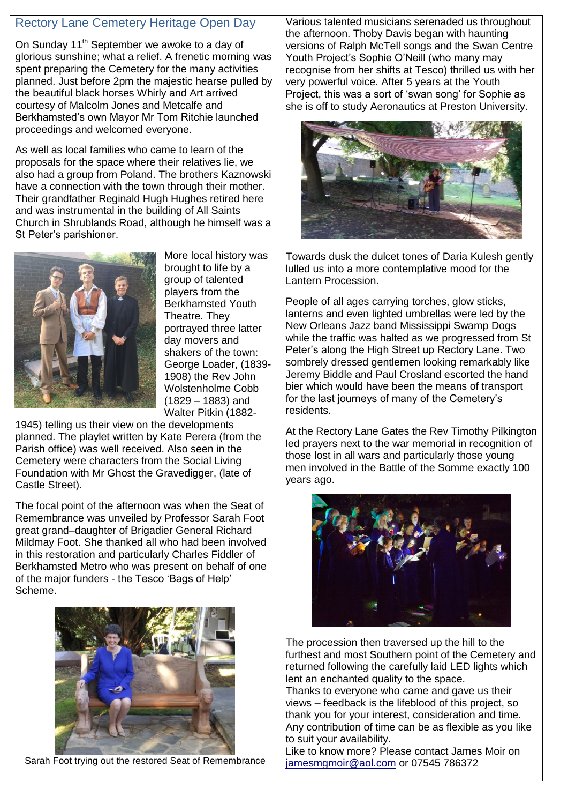## Rectory Lane Cemetery Heritage Open Day

On Sunday 11<sup>th</sup> September we awoke to a day of glorious sunshine; what a relief. A frenetic morning was spent preparing the Cemetery for the many activities planned. Just before 2pm the majestic hearse pulled by the beautiful black horses Whirly and Art arrived courtesy of Malcolm Jones and Metcalfe and Berkhamsted's own Mayor Mr Tom Ritchie launched proceedings and welcomed everyone.

As well as local families who came to learn of the proposals for the space where their relatives lie, we also had a group from Poland. The brothers Kaznowski have a connection with the town through their mother. Their grandfather Reginald Hugh Hughes retired here and was instrumental in the building of All Saints Church in Shrublands Road, although he himself was a St Peter's parishioner.



More local history was brought to life by a group of talented players from the Berkhamsted Youth Theatre. They portrayed three latter day movers and shakers of the town: George Loader, (1839- 1908) the Rev John Wolstenholme Cobb (1829 – 1883) and Walter Pitkin (1882-

1945) telling us their view on the developments planned. The playlet written by Kate Perera (from the Parish office) was well received. Also seen in the Cemetery were characters from the Social Living Foundation with Mr Ghost the Gravedigger, (late of Castle Street).

The focal point of the afternoon was when the Seat of Remembrance was unveiled by Professor Sarah Foot great grand–daughter of Brigadier General Richard Mildmay Foot. She thanked all who had been involved in this restoration and particularly Charles Fiddler of Berkhamsted Metro who was present on behalf of one of the major funders - the Tesco 'Bags of Help' Scheme.



Sarah Foot trying out the restored Seat of Remembrance

Various talented musicians serenaded us throughout the afternoon. Thoby Davis began with haunting versions of Ralph McTell songs and the Swan Centre Youth Project's Sophie O'Neill (who many may recognise from her shifts at Tesco) thrilled us with her very powerful voice. After 5 years at the Youth Project, this was a sort of 'swan song' for Sophie as she is off to study Aeronautics at Preston University.



Towards dusk the dulcet tones of Daria Kulesh gently lulled us into a more contemplative mood for the Lantern Procession.

People of all ages carrying torches, glow sticks, lanterns and even lighted umbrellas were led by the New Orleans Jazz band Mississippi Swamp Dogs while the traffic was halted as we progressed from St Peter's along the High Street up Rectory Lane. Two sombrely dressed gentlemen looking remarkably like Jeremy Biddle and Paul Crosland escorted the hand bier which would have been the means of transport for the last journeys of many of the Cemetery's residents.

At the Rectory Lane Gates the Rev Timothy Pilkington led prayers next to the war memorial in recognition of those lost in all wars and particularly those young men involved in the Battle of the Somme exactly 100 years ago.



The procession then traversed up the hill to the furthest and most Southern point of the Cemetery and returned following the carefully laid LED lights which lent an enchanted quality to the space.

Thanks to everyone who came and gave us their views – feedback is the lifeblood of this project, so thank you for your interest, consideration and time. Any contribution of time can be as flexible as you like to suit your availability.

Like to know more? Please contact James Moir on [jamesmgmoir@aol.com](mailto:jamesmgmoir@aol.com) or 07545 786372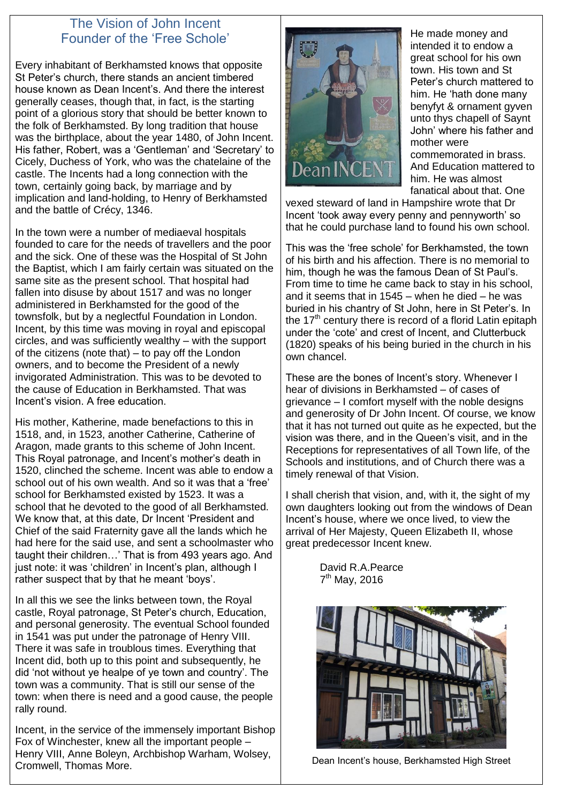## The Vision of John Incent Founder of the 'Free Schole'

Every inhabitant of Berkhamsted knows that opposite St Peter's church, there stands an ancient timbered house known as Dean Incent's. And there the interest generally ceases, though that, in fact, is the starting point of a glorious story that should be better known to the folk of Berkhamsted. By long tradition that house was the birthplace, about the year 1480, of John Incent. His father, Robert, was a 'Gentleman' and 'Secretary' to Cicely, Duchess of York, who was the chatelaine of the castle. The Incents had a long connection with the town, certainly going back, by marriage and by implication and land-holding, to Henry of Berkhamsted and the battle of Crécy, 1346.

In the town were a number of mediaeval hospitals founded to care for the needs of travellers and the poor and the sick. One of these was the Hospital of St John the Baptist, which I am fairly certain was situated on the same site as the present school. That hospital had fallen into disuse by about 1517 and was no longer administered in Berkhamsted for the good of the townsfolk, but by a neglectful Foundation in London. Incent, by this time was moving in royal and episcopal circles, and was sufficiently wealthy – with the support of the citizens (note that) – to pay off the London owners, and to become the President of a newly invigorated Administration. This was to be devoted to the cause of Education in Berkhamsted. That was Incent's vision. A free education.

His mother, Katherine, made benefactions to this in 1518, and, in 1523, another Catherine, Catherine of Aragon, made grants to this scheme of John Incent. This Royal patronage, and Incent's mother's death in 1520, clinched the scheme. Incent was able to endow a school out of his own wealth. And so it was that a 'free' school for Berkhamsted existed by 1523. It was a school that he devoted to the good of all Berkhamsted. We know that, at this date, Dr Incent 'President and Chief of the said Fraternity gave all the lands which he had here for the said use, and sent a schoolmaster who taught their children…' That is from 493 years ago. And just note: it was 'children' in Incent's plan, although I rather suspect that by that he meant 'boys'.

In all this we see the links between town, the Royal castle, Royal patronage, St Peter's church, Education, and personal generosity. The eventual School founded in 1541 was put under the patronage of Henry VIII. There it was safe in troublous times. Everything that Incent did, both up to this point and subsequently, he did 'not without ye healpe of ye town and country'. The town was a community. That is still our sense of the town: when there is need and a good cause, the people rally round.

Incent, in the service of the immensely important Bishop Fox of Winchester, knew all the important people – Henry VIII, Anne Boleyn, Archbishop Warham, Wolsey, Cromwell, Thomas More.



He made money and intended it to endow a great school for his own town. His town and St Peter's church mattered to him. He 'hath done many benyfyt & ornament gyven unto thys chapell of Saynt John' where his father and mother were commemorated in brass. And Education mattered to him. He was almost fanatical about that. One

vexed steward of land in Hampshire wrote that Dr Incent 'took away every penny and pennyworth' so that he could purchase land to found his own school.

This was the 'free schole' for Berkhamsted, the town of his birth and his affection. There is no memorial to him, though he was the famous Dean of St Paul's. From time to time he came back to stay in his school, and it seems that in 1545 – when he died – he was buried in his chantry of St John, here in St Peter's. In the  $17<sup>th</sup>$  century there is record of a florid Latin epitaph under the 'cote' and crest of Incent, and Clutterbuck (1820) speaks of his being buried in the church in his own chancel.

These are the bones of Incent's story. Whenever I hear of divisions in Berkhamsted – of cases of grievance – I comfort myself with the noble designs and generosity of Dr John Incent. Of course, we know that it has not turned out quite as he expected, but the vision was there, and in the Queen's visit, and in the Receptions for representatives of all Town life, of the Schools and institutions, and of Church there was a timely renewal of that Vision.

I shall cherish that vision, and, with it, the sight of my own daughters looking out from the windows of Dean Incent's house, where we once lived, to view the arrival of Her Majesty, Queen Elizabeth II, whose great predecessor Incent knew.

> David R.A.Pearce 7<sup>th</sup> May, 2016



Dean Incent's house, Berkhamsted High Street